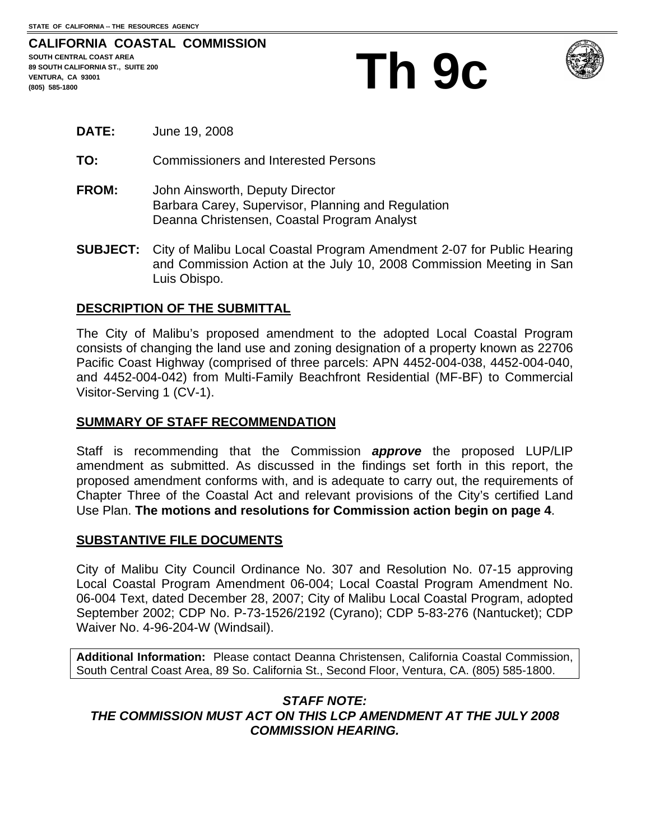#### **CALIFORNIA COASTAL COMMISSION SOUTH CENTRAL COAST AREA 89 SOUTH CALIFORNIA ST., SUITE 200 VENTURA (805) 585-1800**

# **Th 9c**



- **DATE:** June 19, 2008
- **TO:** Commissioners and Interested Persons
- **FROM:** John Ainsworth, Deputy Director Barbara Carey, Supervisor, Planning and Regulation Deanna Christensen, Coastal Program Analyst
- **SUBJECT:** City of Malibu Local Coastal Program Amendment 2-07 for Public Hearing and Commission Action at the July 10, 2008 Commission Meeting in San Luis Obispo.

# **DESCRIPTION OF THE SUBMITTAL**

The City of Malibu's proposed amendment to the adopted Local Coastal Program consists of changing the land use and zoning designation of a property known as 22706 Pacific Coast Highway (comprised of three parcels: APN 4452-004-038, 4452-004-040, and 4452-004-042) from Multi-Family Beachfront Residential (MF-BF) to Commercial Visitor-Serving 1 (CV-1).

## **SUMMARY OF STAFF RECOMMENDATION**

Staff is recommending that the Commission *approve* the proposed LUP/LIP amendment as submitted. As discussed in the findings set forth in this report, the proposed amendment conforms with, and is adequate to carry out, the requirements of Chapter Three of the Coastal Act and relevant provisions of the City's certified Land Use Plan. **The motions and resolutions for Commission action begin on page 4**.

## **SUBSTANTIVE FILE DOCUMENTS**

City of Malibu City Council Ordinance No. 307 and Resolution No. 07-15 approving Local Coastal Program Amendment 06-004; Local Coastal Program Amendment No. 06-004 Text, dated December 28, 2007; City of Malibu Local Coastal Program, adopted September 2002; CDP No. P-73-1526/2192 (Cyrano); CDP 5-83-276 (Nantucket); CDP Waiver No. 4-96-204-W (Windsail).

**Additional Information:** Please contact Deanna Christensen, California Coastal Commission, South Central Coast Area, 89 So. California St., Second Floor, Ventura, CA. (805) 585-1800.

## *STAFF NOTE: THE COMMISSION MUST ACT ON THIS LCP AMENDMENT AT THE JULY 2008 COMMISSION HEARING.*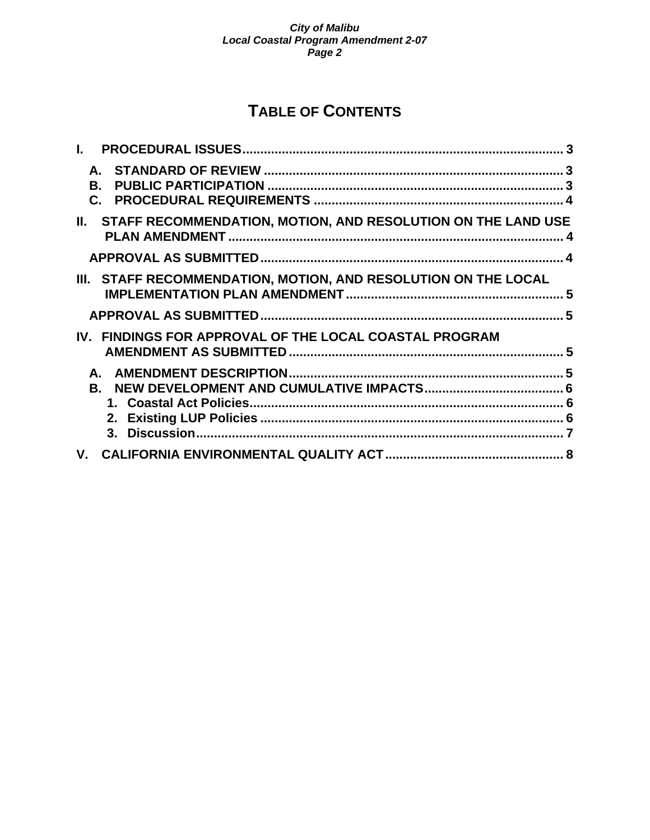# **TABLE OF CONTENTS**

| $\mathbf{L}$ |                                                                  |  |
|--------------|------------------------------------------------------------------|--|
|              | B.                                                               |  |
|              | II. STAFF RECOMMENDATION, MOTION, AND RESOLUTION ON THE LAND USE |  |
|              |                                                                  |  |
|              | III. STAFF RECOMMENDATION, MOTION, AND RESOLUTION ON THE LOCAL   |  |
|              |                                                                  |  |
|              | IV. FINDINGS FOR APPROVAL OF THE LOCAL COASTAL PROGRAM           |  |
|              |                                                                  |  |
|              |                                                                  |  |
| V.           |                                                                  |  |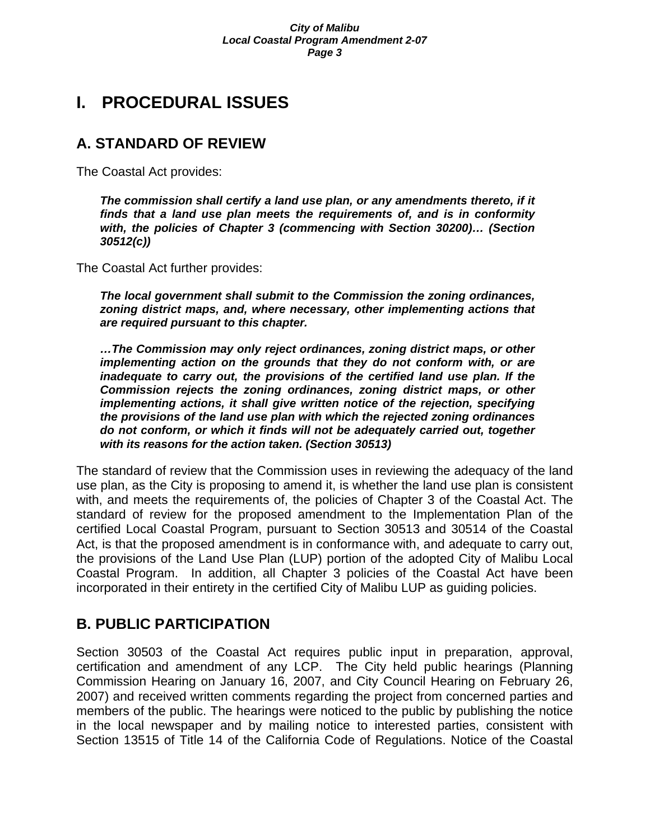# **I. PROCEDURAL ISSUES**

# **A. STANDARD OF REVIEW**

The Coastal Act provides:

*The commission shall certify a land use plan, or any amendments thereto, if it finds that a land use plan meets the requirements of, and is in conformity with, the policies of Chapter 3 (commencing with Section 30200)… (Section 30512(c))* 

The Coastal Act further provides:

*The local government shall submit to the Commission the zoning ordinances, zoning district maps, and, where necessary, other implementing actions that are required pursuant to this chapter.* 

*…The Commission may only reject ordinances, zoning district maps, or other implementing action on the grounds that they do not conform with, or are inadequate to carry out, the provisions of the certified land use plan. If the Commission rejects the zoning ordinances, zoning district maps, or other implementing actions, it shall give written notice of the rejection, specifying the provisions of the land use plan with which the rejected zoning ordinances do not conform, or which it finds will not be adequately carried out, together with its reasons for the action taken. (Section 30513)* 

The standard of review that the Commission uses in reviewing the adequacy of the land use plan, as the City is proposing to amend it, is whether the land use plan is consistent with, and meets the requirements of, the policies of Chapter 3 of the Coastal Act. The standard of review for the proposed amendment to the Implementation Plan of the certified Local Coastal Program, pursuant to Section 30513 and 30514 of the Coastal Act, is that the proposed amendment is in conformance with, and adequate to carry out, the provisions of the Land Use Plan (LUP) portion of the adopted City of Malibu Local Coastal Program. In addition, all Chapter 3 policies of the Coastal Act have been incorporated in their entirety in the certified City of Malibu LUP as guiding policies.

# **B. PUBLIC PARTICIPATION**

Section 30503 of the Coastal Act requires public input in preparation, approval, certification and amendment of any LCP. The City held public hearings (Planning Commission Hearing on January 16, 2007, and City Council Hearing on February 26, 2007) and received written comments regarding the project from concerned parties and members of the public. The hearings were noticed to the public by publishing the notice in the local newspaper and by mailing notice to interested parties, consistent with Section 13515 of Title 14 of the California Code of Regulations. Notice of the Coastal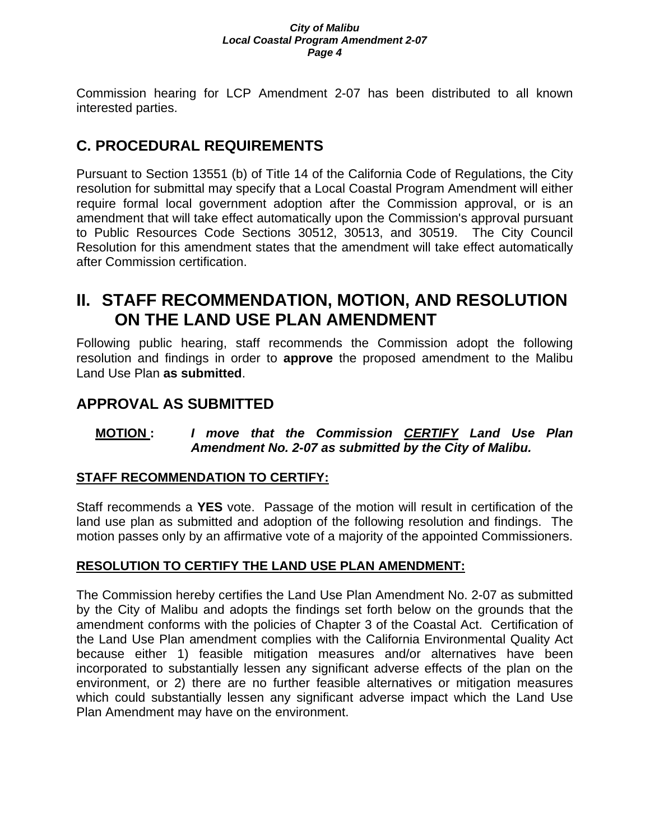Commission hearing for LCP Amendment 2-07 has been distributed to all known interested parties.

# **C. PROCEDURAL REQUIREMENTS**

Pursuant to Section 13551 (b) of Title 14 of the California Code of Regulations, the City resolution for submittal may specify that a Local Coastal Program Amendment will either require formal local government adoption after the Commission approval, or is an amendment that will take effect automatically upon the Commission's approval pursuant to Public Resources Code Sections 30512, 30513, and 30519. The City Council Resolution for this amendment states that the amendment will take effect automatically after Commission certification.

# **II. STAFF RECOMMENDATION, MOTION, AND RESOLUTION ON THE LAND USE PLAN AMENDMENT**

Following public hearing, staff recommends the Commission adopt the following resolution and findings in order to **approve** the proposed amendment to the Malibu Land Use Plan **as submitted**.

# **APPROVAL AS SUBMITTED**

# **MOTION :** *I move that the Commission CERTIFY Land Use Plan Amendment No. 2-07 as submitted by the City of Malibu.*

# **STAFF RECOMMENDATION TO CERTIFY:**

Staff recommends a **YES** vote. Passage of the motion will result in certification of the land use plan as submitted and adoption of the following resolution and findings. The motion passes only by an affirmative vote of a majority of the appointed Commissioners.

# **RESOLUTION TO CERTIFY THE LAND USE PLAN AMENDMENT:**

The Commission hereby certifies the Land Use Plan Amendment No. 2-07 as submitted by the City of Malibu and adopts the findings set forth below on the grounds that the amendment conforms with the policies of Chapter 3 of the Coastal Act. Certification of the Land Use Plan amendment complies with the California Environmental Quality Act because either 1) feasible mitigation measures and/or alternatives have been incorporated to substantially lessen any significant adverse effects of the plan on the environment, or 2) there are no further feasible alternatives or mitigation measures which could substantially lessen any significant adverse impact which the Land Use Plan Amendment may have on the environment.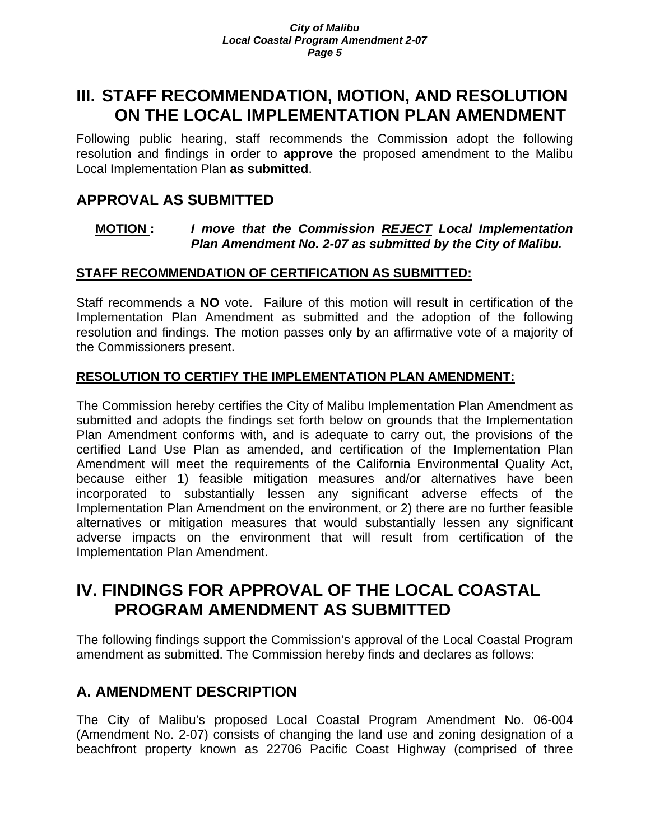# **III. STAFF RECOMMENDATION, MOTION, AND RESOLUTION ON THE LOCAL IMPLEMENTATION PLAN AMENDMENT**

Following public hearing, staff recommends the Commission adopt the following resolution and findings in order to **approve** the proposed amendment to the Malibu Local Implementation Plan **as submitted**.

# **APPROVAL AS SUBMITTED**

## **MOTION :** *I move that the Commission REJECT Local Implementation Plan Amendment No. 2-07 as submitted by the City of Malibu.*

# **STAFF RECOMMENDATION OF CERTIFICATION AS SUBMITTED:**

Staff recommends a **NO** vote. Failure of this motion will result in certification of the Implementation Plan Amendment as submitted and the adoption of the following resolution and findings. The motion passes only by an affirmative vote of a majority of the Commissioners present.

## **RESOLUTION TO CERTIFY THE IMPLEMENTATION PLAN AMENDMENT:**

The Commission hereby certifies the City of Malibu Implementation Plan Amendment as submitted and adopts the findings set forth below on grounds that the Implementation Plan Amendment conforms with, and is adequate to carry out, the provisions of the certified Land Use Plan as amended, and certification of the Implementation Plan Amendment will meet the requirements of the California Environmental Quality Act, because either 1) feasible mitigation measures and/or alternatives have been incorporated to substantially lessen any significant adverse effects of the Implementation Plan Amendment on the environment, or 2) there are no further feasible alternatives or mitigation measures that would substantially lessen any significant adverse impacts on the environment that will result from certification of the Implementation Plan Amendment.

# **IV. FINDINGS FOR APPROVAL OF THE LOCAL COASTAL PROGRAM AMENDMENT AS SUBMITTED**

The following findings support the Commission's approval of the Local Coastal Program amendment as submitted. The Commission hereby finds and declares as follows:

# **A. AMENDMENT DESCRIPTION**

The City of Malibu's proposed Local Coastal Program Amendment No. 06-004 (Amendment No. 2-07) consists of changing the land use and zoning designation of a beachfront property known as 22706 Pacific Coast Highway (comprised of three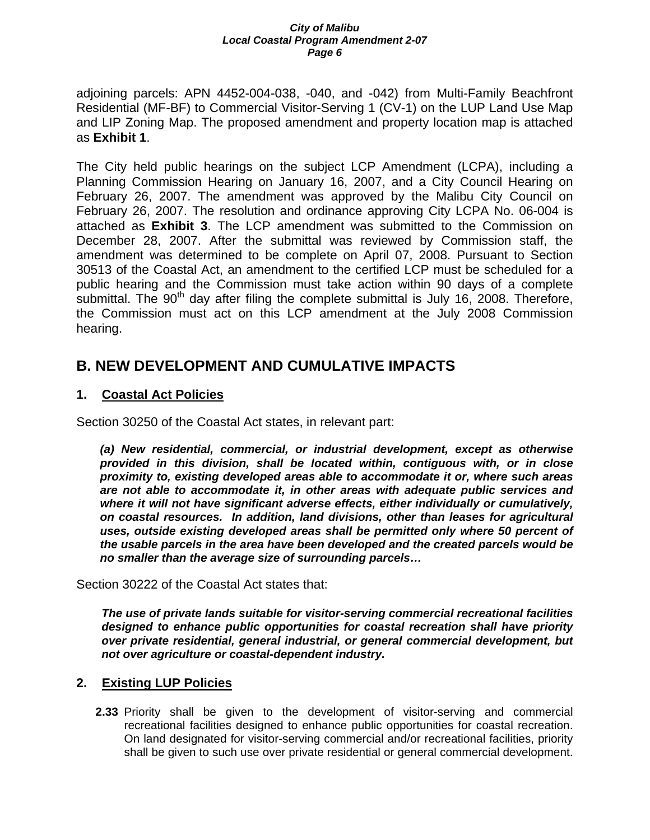adjoining parcels: APN 4452-004-038, -040, and -042) from Multi-Family Beachfront Residential (MF-BF) to Commercial Visitor-Serving 1 (CV-1) on the LUP Land Use Map and LIP Zoning Map. The proposed amendment and property location map is attached as **Exhibit 1**.

The City held public hearings on the subject LCP Amendment (LCPA), including a Planning Commission Hearing on January 16, 2007, and a City Council Hearing on February 26, 2007. The amendment was approved by the Malibu City Council on February 26, 2007. The resolution and ordinance approving City LCPA No. 06-004 is attached as **Exhibit 3**. The LCP amendment was submitted to the Commission on December 28, 2007. After the submittal was reviewed by Commission staff, the amendment was determined to be complete on April 07, 2008. Pursuant to Section 30513 of the Coastal Act, an amendment to the certified LCP must be scheduled for a public hearing and the Commission must take action within 90 days of a complete submittal. The  $90<sup>th</sup>$  day after filing the complete submittal is July 16, 2008. Therefore, the Commission must act on this LCP amendment at the July 2008 Commission hearing.

# **B. NEW DEVELOPMENT AND CUMULATIVE IMPACTS**

# **1. Coastal Act Policies**

Section 30250 of the Coastal Act states, in relevant part:

*(a) New residential, commercial, or industrial development, except as otherwise provided in this division, shall be located within, contiguous with, or in close proximity to, existing developed areas able to accommodate it or, where such areas are not able to accommodate it, in other areas with adequate public services and where it will not have significant adverse effects, either individually or cumulatively, on coastal resources. In addition, land divisions, other than leases for agricultural uses, outside existing developed areas shall be permitted only where 50 percent of the usable parcels in the area have been developed and the created parcels would be no smaller than the average size of surrounding parcels…* 

Section 30222 of the Coastal Act states that:

*The use of private lands suitable for visitor-serving commercial recreational facilities designed to enhance public opportunities for coastal recreation shall have priority over private residential, general industrial, or general commercial development, but not over agriculture or coastal-dependent industry.* 

## **2. Existing LUP Policies**

**2.33** Priority shall be given to the development of visitor-serving and commercial recreational facilities designed to enhance public opportunities for coastal recreation. On land designated for visitor-serving commercial and/or recreational facilities, priority shall be given to such use over private residential or general commercial development.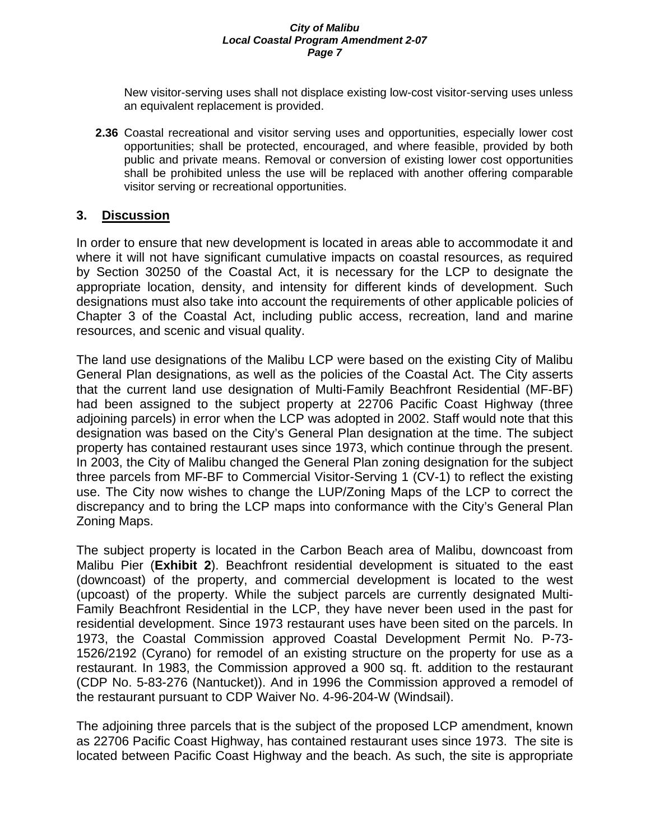New visitor-serving uses shall not displace existing low-cost visitor-serving uses unless an equivalent replacement is provided.

**2.36** Coastal recreational and visitor serving uses and opportunities, especially lower cost opportunities; shall be protected, encouraged, and where feasible, provided by both public and private means. Removal or conversion of existing lower cost opportunities shall be prohibited unless the use will be replaced with another offering comparable visitor serving or recreational opportunities.

# **3. Discussion**

In order to ensure that new development is located in areas able to accommodate it and where it will not have significant cumulative impacts on coastal resources, as required by Section 30250 of the Coastal Act, it is necessary for the LCP to designate the appropriate location, density, and intensity for different kinds of development. Such designations must also take into account the requirements of other applicable policies of Chapter 3 of the Coastal Act, including public access, recreation, land and marine resources, and scenic and visual quality.

The land use designations of the Malibu LCP were based on the existing City of Malibu General Plan designations, as well as the policies of the Coastal Act. The City asserts that the current land use designation of Multi-Family Beachfront Residential (MF-BF) had been assigned to the subject property at 22706 Pacific Coast Highway (three adjoining parcels) in error when the LCP was adopted in 2002. Staff would note that this designation was based on the City's General Plan designation at the time. The subject property has contained restaurant uses since 1973, which continue through the present. In 2003, the City of Malibu changed the General Plan zoning designation for the subject three parcels from MF-BF to Commercial Visitor-Serving 1 (CV-1) to reflect the existing use. The City now wishes to change the LUP/Zoning Maps of the LCP to correct the discrepancy and to bring the LCP maps into conformance with the City's General Plan Zoning Maps.

The subject property is located in the Carbon Beach area of Malibu, downcoast from Malibu Pier (**Exhibit 2**). Beachfront residential development is situated to the east (downcoast) of the property, and commercial development is located to the west (upcoast) of the property. While the subject parcels are currently designated Multi-Family Beachfront Residential in the LCP, they have never been used in the past for residential development. Since 1973 restaurant uses have been sited on the parcels. In 1973, the Coastal Commission approved Coastal Development Permit No. P-73- 1526/2192 (Cyrano) for remodel of an existing structure on the property for use as a restaurant. In 1983, the Commission approved a 900 sq. ft. addition to the restaurant (CDP No. 5-83-276 (Nantucket)). And in 1996 the Commission approved a remodel of the restaurant pursuant to CDP Waiver No. 4-96-204-W (Windsail).

The adjoining three parcels that is the subject of the proposed LCP amendment, known as 22706 Pacific Coast Highway, has contained restaurant uses since 1973. The site is located between Pacific Coast Highway and the beach. As such, the site is appropriate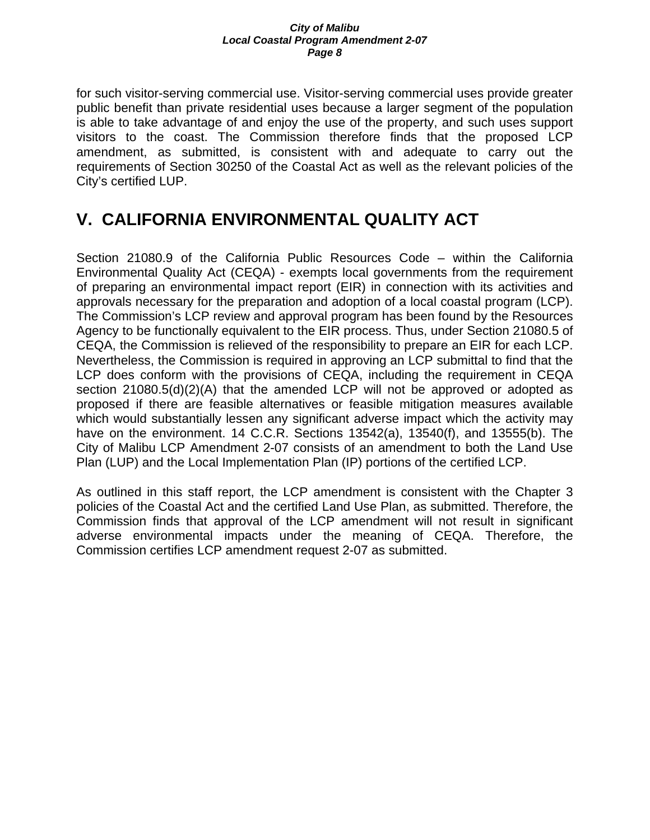for such visitor-serving commercial use. Visitor-serving commercial uses provide greater public benefit than private residential uses because a larger segment of the population is able to take advantage of and enjoy the use of the property, and such uses support visitors to the coast. The Commission therefore finds that the proposed LCP amendment, as submitted, is consistent with and adequate to carry out the requirements of Section 30250 of the Coastal Act as well as the relevant policies of the City's certified LUP.

# **V. CALIFORNIA ENVIRONMENTAL QUALITY ACT**

Section 21080.9 of the California Public Resources Code – within the California Environmental Quality Act (CEQA) - exempts local governments from the requirement of preparing an environmental impact report (EIR) in connection with its activities and approvals necessary for the preparation and adoption of a local coastal program (LCP). The Commission's LCP review and approval program has been found by the Resources Agency to be functionally equivalent to the EIR process. Thus, under Section 21080.5 of CEQA, the Commission is relieved of the responsibility to prepare an EIR for each LCP. Nevertheless, the Commission is required in approving an LCP submittal to find that the LCP does conform with the provisions of CEQA, including the requirement in CEQA section 21080.5(d)(2)(A) that the amended LCP will not be approved or adopted as proposed if there are feasible alternatives or feasible mitigation measures available which would substantially lessen any significant adverse impact which the activity may have on the environment. 14 C.C.R. Sections 13542(a), 13540(f), and 13555(b). The City of Malibu LCP Amendment 2-07 consists of an amendment to both the Land Use Plan (LUP) and the Local Implementation Plan (IP) portions of the certified LCP.

As outlined in this staff report, the LCP amendment is consistent with the Chapter 3 policies of the Coastal Act and the certified Land Use Plan, as submitted. Therefore, the Commission finds that approval of the LCP amendment will not result in significant adverse environmental impacts under the meaning of CEQA. Therefore, the Commission certifies LCP amendment request 2-07 as submitted.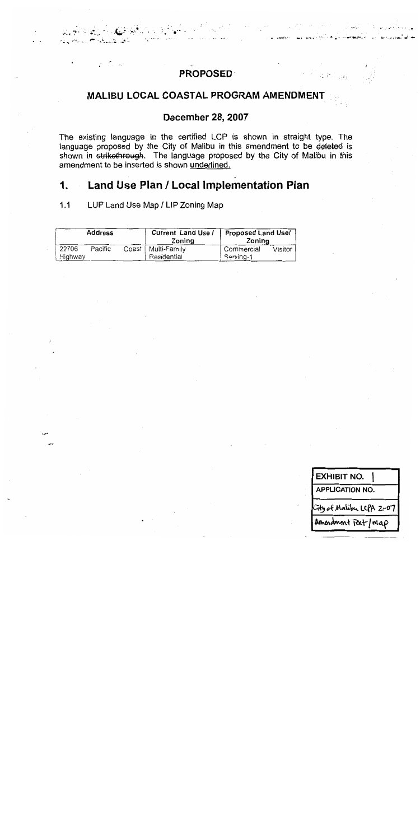# **PROPOSED**

# MALIBU LOCAL COASTAL PROGRAM AMENDMENT

# **December 28, 2007**

The existing language in the certified LCP is shown in straight type. The language proposed by the City of Malibu in this amendment to be deleted is shown in strikethrough. The language proposed by the City of Malibu in this amendment to be inserted is shown underlined.

#### Land Use Plan / Local Implementation Plan 1.

 $1.1$ LUP Land Use Map / LIP Zoning Map

a Cara

| <b>Address</b> |         |         | Current Land Use /<br>Zoning | <b>Proposed Land Usel</b><br>Zoning |         |
|----------------|---------|---------|------------------------------|-------------------------------------|---------|
| 22706          | Pacific | Coast I | Multi-Family                 | Commercial                          | Visitor |
| Highway        |         |         | Residential                  | Servina-1                           |         |

**EXHIBIT NO. APPLICATION NO.** Amendment Tart/map

 $2F_{\rm{Jup}}^{\rm{2}}$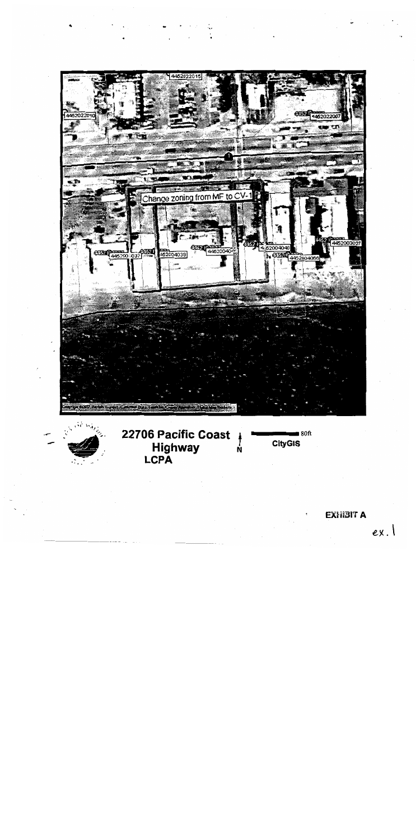

# **EXHIBIT A**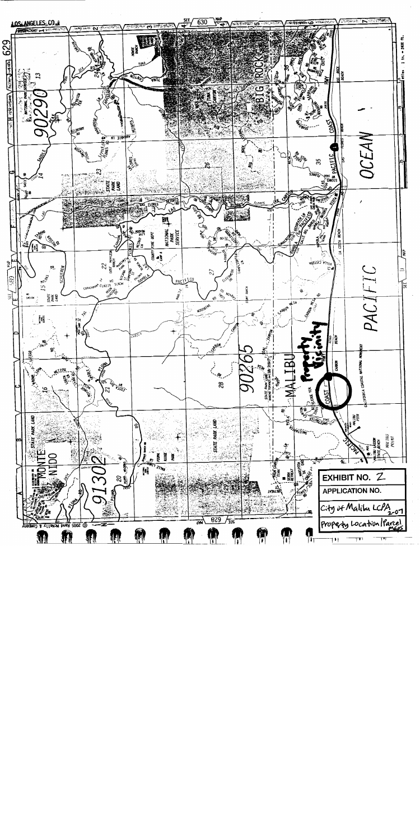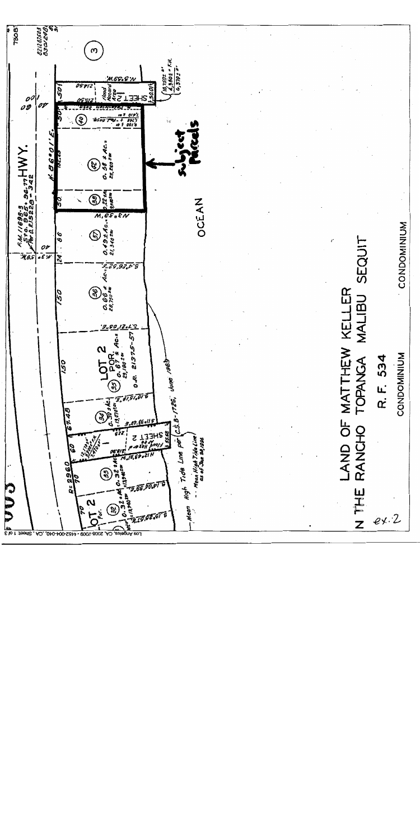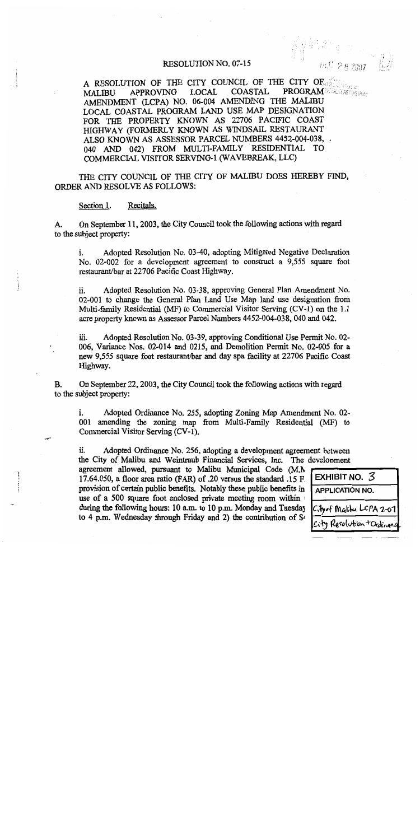#### **RESOLUTION NO. 07-15**

A RESOLUTION OF THE CITY COUNCIL OF THE CITY OF **PROGRAM** WALL COAST DISTRICT **APPROVING LOCAL COASTAL MALIBU** AMENDMENT (LCPA) NO. 06-004 AMENDING THE MALIBU LOCAL COASTAL PROGRAM LAND USE MAP DESIGNATION FOR THE PROPERTY KNOWN AS 22706 PACIFIC COAST HIGHWAY (FORMERLY KNOWN AS WINDSAIL RESTAURANT ALSO KNOWN AS ASSESSOR PARCEL NUMBERS 4452-004-038, . 040 AND 042) FROM MULTI-FAMILY RESIDENTIAL TO COMMERCIAL VISITOR SERVING-1 (WAVEBREAK, LLC)

THE CITY COUNCIL OF THE CITY OF MALIBU DOES HEREBY FIND. ORDER AND RESOLVE AS FOLLOWS:

Recitals. Section 1.

On September 11, 2003, the City Council took the following actions with regard A. to the subject property:

Adopted Resolution No. 03-40, adopting Mitigated Negative Declaration i. No. 02-002 for a development agreement to construct a 9,555 square foot restaurant/bar at 22706 Pacific Coast Highway.

Adopted Resolution No. 03-38, approving General Plan Amendment No. ii. 02-001 to change the General Plan Land Use Map land use designation from Multi-family Residential (MF) to Commercial Visitor Serving (CV-1) on the 1.1 acre property known as Assessor Parcel Numbers 4452-004-038, 040 and 042.

Adopted Resolution No. 03-39, approving Conditional Use Permit No. 02iii. 006, Variance Nos. 02-014 and 0215, and Demolition Permit No. 02-005 for a new 9,555 square foot restaurant/bar and day spa facility at 22706 Pacific Coast Highway.

On September 22, 2003, the City Council took the following actions with regard **B.** to the subject property:

i. Adopted Ordinance No. 255, adopting Zoning Map Amendment No. 02-001 amending the zoning map from Multi-Family Residential (MF) to Commercial Visitor Serving (CV-1).

ii. Adopted Ordinance No. 256, adopting a development agreement between the City of Malibu and Weintraub Financial Services, Inc. The development

agreement allowed, pursuant to Malibu Municipal Code (M.N 17.64.050, a floor area ratio (FAR) of .20 versus the standard .15 F. provision of certain public benefits. Notably these public benefits in use of a 500 square foot enclosed private meeting room within during the following hours: 10 a.m. to 10 p.m. Monday and Tuesday to 4 p.m. Wednesday through Friday and 2) the contribution of  $\mathcal{S}^{\prime}$ 

| EXHIBIT NO. 3             |  |  |
|---------------------------|--|--|
| <b>APPLICATION NO.</b>    |  |  |
| City of Malibu LCPA 2-07  |  |  |
| City Resolution + Ordinan |  |  |

EC 28 2007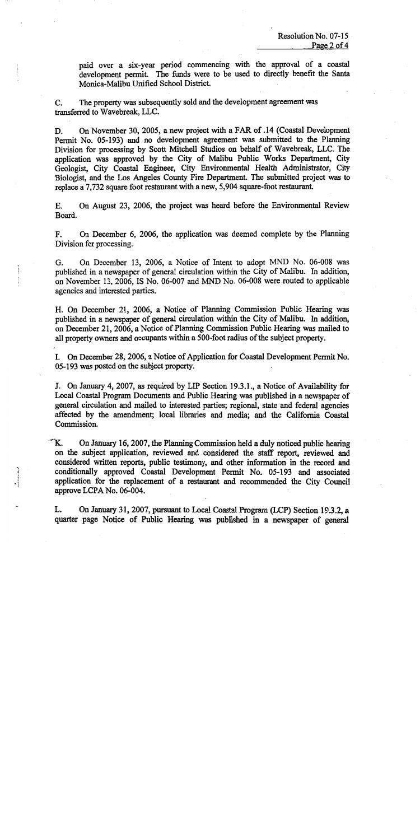paid over a six-year period commencing with the approval of a coastal development permit. The funds were to be used to directly benefit the Santa Monica-Malibu Unified School District.

The property was subsequently sold and the development agreement was C. transferred to Wavebreak, LLC.

On November 30, 2005, a new project with a FAR of .14 (Coastal Development D. Permit No. 05-193) and no development agreement was submitted to the Planning Division for processing by Scott Mitchell Studios on behalf of Wavebreak, LLC. The application was approved by the City of Malibu Public Works Department, City Geologist, City Coastal Engineer, City Environmental Health Administrator, City Biologist, and the Los Angeles County Fire Department. The submitted project was to replace a 7,732 square foot restaurant with a new, 5,904 square-foot restaurant.

On August 23, 2006, the project was heard before the Environmental Review E. Board.

On December 6, 2006, the application was deemed complete by the Planning F. Division for processing.

G. On December 13, 2006, a Notice of Intent to adopt MND No. 06-008 was published in a newspaper of general circulation within the City of Malibu. In addition, on November 13, 2006, IS No. 06-007 and MND No. 06-008 were routed to applicable agencies and interested parties.

H. On December 21, 2006, a Notice of Planning Commission Public Hearing was published in a newspaper of general circulation within the City of Malibu. In addition, on December 21, 2006, a Notice of Planning Commission Public Hearing was mailed to all property owners and occupants within a 500-foot radius of the subject property.

I. On December 28, 2006, a Notice of Application for Coastal Development Permit No. 05-193 was posted on the subject property.

J. On January 4, 2007, as required by LIP Section 19.3.1., a Notice of Availability for Local Coastal Program Documents and Public Hearing was published in a newspaper of general circulation and mailed to interested parties; regional, state and federal agencies affected by the amendment; local libraries and media; and the California Coastal Commission.

Κ. On January 16, 2007, the Planning Commission held a duly noticed public hearing on the subject application, reviewed and considered the staff report, reviewed and considered written reports, public testimony, and other information in the record and conditionally approved Coastal Development Permit No. 05-193 and associated application for the replacement of a restaurant and recommended the City Council approve LCPA No. 06-004.

L. On January 31, 2007, pursuant to Local Coastal Program (LCP) Section 19.3.2, a quarter page Notice of Public Hearing was published in a newspaper of general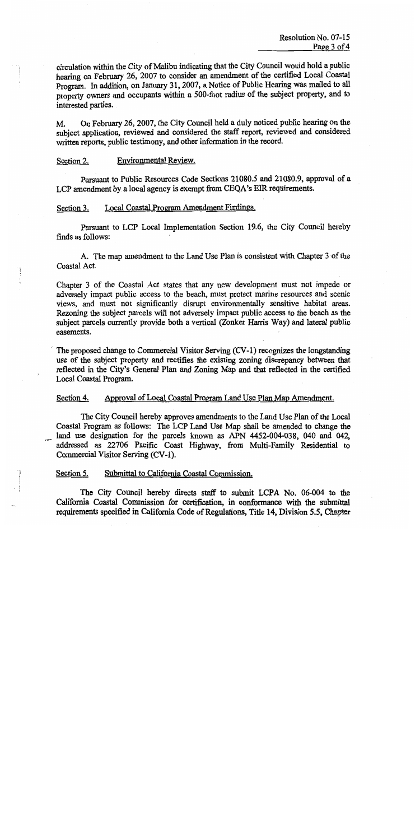circulation within the City of Malibu indicating that the City Council would hold a public hearing on February 26, 2007 to consider an amendment of the certified Local Coastal Program. In addition, on January 31, 2007, a Notice of Public Hearing was mailed to all property owners and occupants within a 500-foot radius of the subject property, and to interested parties.

On February 26, 2007, the City Council held a duly noticed public hearing on the  $M_{\odot}$ subject application, reviewed and considered the staff report, reviewed and considered written reports, public testimony, and other information in the record.

#### Environmental Review. Section 2.

Pursuant to Public Resources Code Sections 21080.5 and 21080.9, approval of a LCP amendment by a local agency is exempt from CEQA's EIR requirements.

#### Local Coastal Program Amendment Findings. Section 3.

Pursuant to LCP Local Implementation Section 19.6, the City Council hereby finds as follows:

A. The map amendment to the Land Use Plan is consistent with Chapter 3 of the Coastal Act.

Chapter 3 of the Coastal Act states that any new development must not impede or adversely impact public access to the beach, must protect marine resources and scenic views, and must not significantly disrupt environmentally sensitive habitat areas. Rezoning the subject parcels will not adversely impact public access to the beach as the subject parcels currently provide both a vertical (Zonker Harris Way) and lateral public easements.

The proposed change to Commercial Visitor Serving (CV-1) recognizes the longstanding use of the subject property and rectifies the existing zoning discrepancy between that reflected in the City's General Plan and Zoning Map and that reflected in the certified Local Coastal Program.

#### Approval of Local Coastal Program Land Use Plan Map Amendment. Section 4.

The City Council hereby approves amendments to the Land Use Plan of the Local Coastal Program as follows: The LCP Land Use Map shall be amended to change the land use designation for the parcels known as APN 4452-004-038, 040 and 042, addressed as 22706 Pacific Coast Highway, from Multi-Family Residential to Commercial Visitor Serving (CV-1).

#### Section 5. Submittal to California Coastal Commission.

The City Council hereby directs staff to submit LCPA No. 06-004 to the California Coastal Commission for certification, in conformance with the submittal requirements specified in California Code of Regulations, Title 14, Division 5.5, Chapter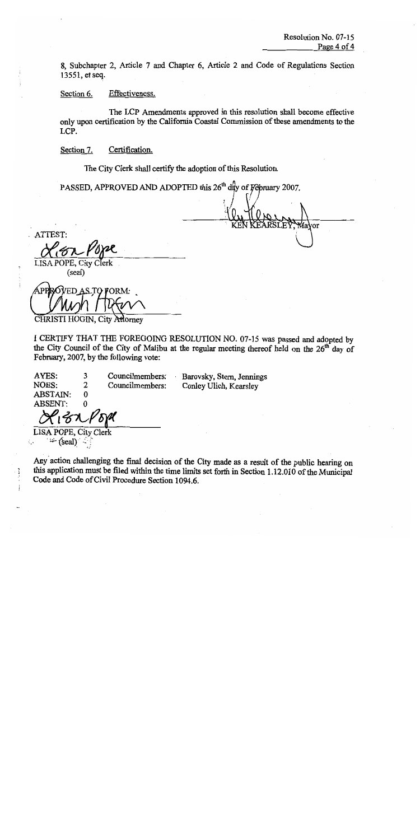vor

8, Subchapter 2, Article 7 and Chapter 6, Article 2 and Code of Regulations Section 13551, et seq.

Effectiveness. Section 6.

The LCP Amendments approved in this resolution shall become effective only upon certification by the California Coastal Commission of these amendments to the LCP.

Section 7. Certification.

The City Clerk shall certify the adoption of this Resolution.

PASSED, APPROVED AND ADOPTED this 26<sup>th</sup> day of February 2007.

ATTEST: LISA POPE, City Clerk

(seal)

**ED AS TO FORM:** 

CHRISTI HOGIN, City Attorney

I CERTIFY THAT THE FOREGOING RESOLUTION NO. 07-15 was passed and adopted by the City Council of the City of Malibu at the regular meeting thereof held on the 26<sup>th</sup> day of February, 2007, by the following vote:

AYES: 3 Councilmembers: NOES:  $\overline{2}$ Councilmembers: **ABSTAIN:**  $\bf{0}$ **ABSENT:**  $\Omega$ 

Barovsky, Stern, Jennings Conley Ulich, Kearsley

**LISA POPE, City Clerk**  $\rightarrow$  (seal)

ζ,

Any action challenging the final decision of the City made as a result of the public hearing on this application must be filed within the time limits set forth in Section 1.12.010 of the Municipal Code and Code of Civil Procedure Section 1094.6.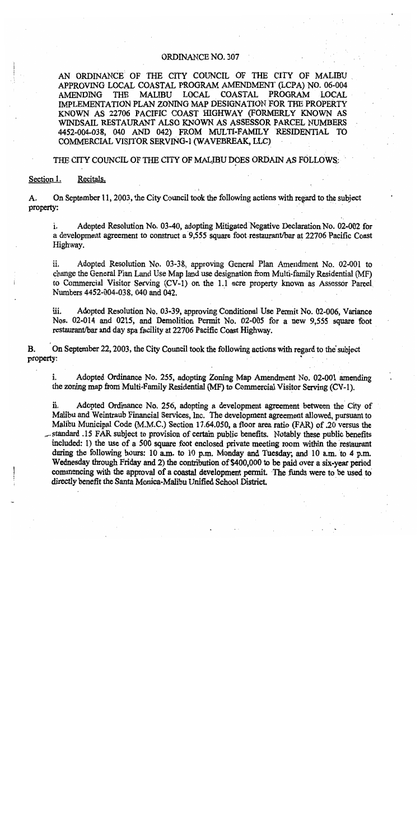## ORDINANCE NO. 307

AN ORDINANCE OF THE CITY COUNCIL OF THE CITY OF MALIBU APPROVING LOCAL COASTAL PROGRAM AMENDMENT (LCPA) NO. 06-004 THE **MALIBU** LOCAL **COASTAL** PROGRAM **LOCAL** AMENDING IMPLEMENTATION PLAN ZONING MAP DESIGNATION FOR THE PROPERTY KNOWN AS 22706 PACIFIC COAST HIGHWAY (FORMERLY KNOWN AS WINDSAIL RESTAURANT ALSO KNOWN AS ASSESSOR PARCEL NUMBERS 4452-004-038, 040 AND 042) FROM MULTI-FAMILY RESIDENTIAL TO COMMERCIAL VISITOR SERVING-1 (WAVEBREAK, LLC)

#### THE CITY COUNCIL OF THE CITY OF MALIBU DOES ORDAIN AS FOLLOWS:

Section 1. Recitals.

A. On September 11, 2003, the City Council took the following actions with regard to the subject property:

i. Adopted Resolution No. 03-40, adopting Mitigated Negative Declaration No. 02-002 for a development agreement to construct a 9,555 square foot restaurant/bar at 22706 Pacific Coast Highway.

Adopted Resolution No. 03-38, approving General Plan Amendment No. 02-001 to ii. change the General Plan Land Use Map land use designation from Multi-family Residential (MF) to Commercial Visitor Serving (CV-1) on the 1.1 acre property known as Assessor Parcel Numbers 4452-004-038, 040 and 042.

iii. Adopted Resolution No. 03-39, approving Conditional Use Permit No. 02-006, Variance Nos. 02-014 and 0215, and Demolition Permit No. 02-005 for a new 9,555 square foot restaurant/bar and day spa facility at 22706 Pacific Coast Highway.

On September 22, 2003, the City Council took the following actions with regard to the subject **B.** property:

i. Adopted Ordinance No. 255, adopting Zoning Map Amendment No. 02-001 amending the zoning map from Multi-Family Residential (MF) to Commercial Visitor Serving (CV-1).

ii. Adopted Ordinance No. 256, adopting a development agreement between the City of Malibu and Weintraub Financial Services, Inc. The development agreement allowed, pursuant to Malibu Municipal Code (M.M.C.) Section 17.64.050, a floor area ratio (FAR) of .20 versus the standard .15 FAR subject to provision of certain public benefits. Notably these public benefits included: 1) the use of a 500 square foot enclosed private meeting room within the restaurant during the following hours: 10 a.m. to 10 p.m. Monday and Tuesday; and 10 a.m. to 4 p.m. Wednesday through Friday and 2) the contribution of \$400,000 to be paid over a six-year period commencing with the approval of a coastal development permit. The funds were to be used to directly benefit the Santa Monica-Malibu Unified School District.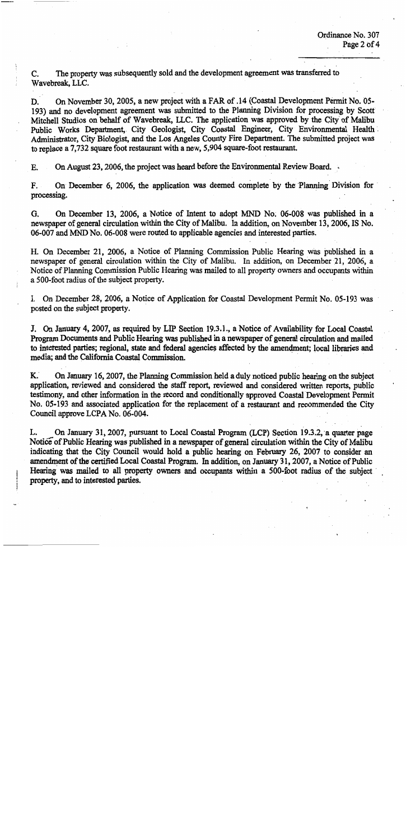The property was subsequently sold and the development agreement was transferred to C. Wavebreak, LLC.

On November 30, 2005, a new project with a FAR of .14 (Coastal Development Permit No. 05-D. 193) and no development agreement was submitted to the Planning Division for processing by Scott Mitchell Studios on behalf of Wavebreak, LLC. The application was approved by the City of Malibu Public Works Department, City Geologist, City Coastal Engineer, City Environmental Health Administrator, City Biologist, and the Los Angeles County Fire Department. The submitted project was to replace a 7.732 square foot restaurant with a new, 5,904 square-foot restaurant.

On August 23, 2006, the project was heard before the Environmental Review Board. E.

On December 6, 2006, the application was deemed complete by the Planning Division for F. processing.

On December 13, 2006, a Notice of Intent to adopt MND No. 06-008 was published in a G. newspaper of general circulation within the City of Malibu. In addition, on November 13, 2006, IS No. 06-007 and MND No. 06-008 were routed to applicable agencies and interested parties.

H. On December 21, 2006, a Notice of Planning Commission Public Hearing was published in a newspaper of general circulation within the City of Malibu. In addition, on December 21, 2006, a Notice of Planning Commission Public Hearing was mailed to all property owners and occupants within a 500-foot radius of the subject property.

I. On December 28, 2006, a Notice of Application for Coastal Development Permit No. 05-193 was posted on the subject property.

J. On January 4, 2007, as required by LIP Section 19.3.1., a Notice of Availability for Local Coastal Program Documents and Public Hearing was published in a newspaper of general circulation and mailed to interested parties; regional, state and federal agencies affected by the amendment; local libraries and media: and the California Coastal Commission.

On January 16, 2007, the Planning Commission held a duly noticed public hearing on the subject  $\kappa$ . application, reviewed and considered the staff report, reviewed and considered written reports, public testimony, and other information in the record and conditionally approved Coastal Development Permit No. 05-193 and associated application for the replacement of a restaurant and recommended the City Council approve LCPA No. 06-004.

On January 31, 2007, pursuant to Local Coastal Program (LCP) Section 19.3.2, a quarter page L. Notice of Public Hearing was published in a newspaper of general circulation within the City of Malibu indicating that the City Council would hold a public hearing on February 26, 2007 to consider an amendment of the certified Local Coastal Program. In addition, on January 31, 2007, a Notice of Public Hearing was mailed to all property owners and occupants within a 500-foot radius of the subject property, and to interested parties.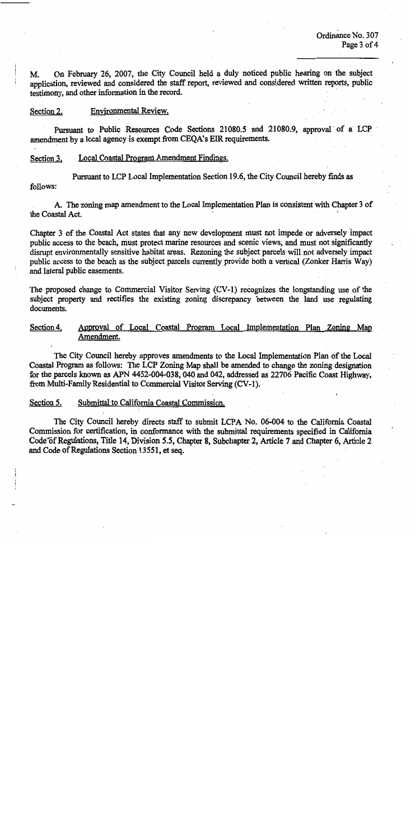On February 26, 2007, the City Council held a duly noticed public hearing on the subject M. application, reviewed and considered the staff report, reviewed and considered written reports, public testimony, and other information in the record.

#### Section 2. Environmental Review.

Pursuant to Public Resources Code Sections 21080.5 and 21080.9, approval of a LCP amendment by a local agency is exempt from CEQA's EIR requirements.

#### Local Coastal Program Amendment Findings. Section 3.

Pursuant to LCP Local Implementation Section 19.6, the City Council hereby finds as follows:

A. The zoning map amendment to the Local Implementation Plan is consistent with Chapter 3 of the Coastal Act.

Chapter 3 of the Coastal Act states that any new development must not impede or adversely impact public access to the beach, must protect marine resources and scenic views, and must not significantly disrupt environmentally sensitive habitat areas. Rezoning the subject parcels will not adversely impact public access to the beach as the subject parcels currently provide both a vertical (Zonker Harris Way) and lateral public easements.

The proposed change to Commercial Visitor Serving (CV-1) recognizes the longstanding use of the subject property and rectifies the existing zoning discrepancy between the land use regulating documents.

Section 4. Approval of Local Coastal Program Local Implementation Plan Zoning Map Amendment.

The City Council hereby approves amendments to the Local Implementation Plan of the Local Coastal Program as follows: The LCP Zoning Map shall be amended to change the zoning designation for the parcels known as APN 4452-004-038, 040 and 042, addressed as 22706 Pacific Coast Highway, from Multi-Family Residential to Commercial Visitor Serving (CV-1).

#### Section 5. Submittal to California Coastal Commission.

The City Council hereby directs staff to submit LCPA No. 06-004 to the California Coastal Commission for certification, in conformance with the submittal requirements specified in California Code of Regulations, Title 14, Division 5.5, Chapter 8, Subchapter 2, Article 7 and Chapter 6, Article 2 and Code of Regulations Section 13551, et seq.